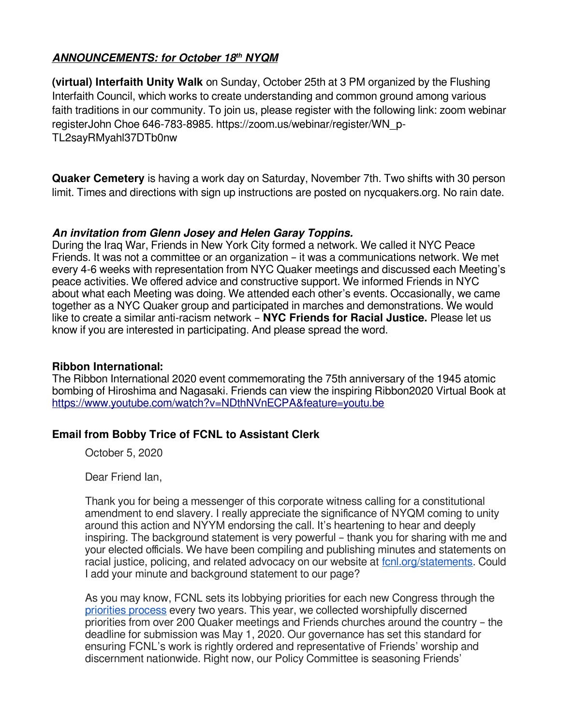# **ANNOUNCEMENTS: for October 18th NYQM**

**(virtual) Interfaith Unity Walk** on Sunday, October 25th at 3 PM organized by the Flushing Interfaith Council, which works to create understanding and common ground among various faith traditions in our community. To join us, please register with the following link: zoom webinar registerJohn Choe 646-783-8985. https://zoom.us/webinar/register/WN\_p-TL2sayRMyahl37DTb0nw

**Quaker Cemetery** is having a work day on Saturday, November 7th. Two shifts with 30 person limit. Times and directions with sign up instructions are posted on nycquakers.org. No rain date.

### **An invitation from Glenn Josey and Helen Garay Toppins.**

During the Iraq War, Friends in New York City formed a network. We called it NYC Peace Friends. It was not a committee or an organization – it was a communications network. We met every 4-6 weeks with representation from NYC Quaker meetings and discussed each Meeting's peace activities. We offered advice and constructive support. We informed Friends in NYC about what each Meeting was doing. We attended each other's events. Occasionally, we came together as a NYC Quaker group and participated in marches and demonstrations. We would like to create a similar anti-racism network – **NYC Friends for Racial Justice.** Please let us know if you are interested in participating. And please spread the word.

### **Ribbon International:**

The Ribbon International 2020 event commemorating the 75th anniversary of the 1945 atomic bombing of Hiroshima and Nagasaki. Friends can view the inspiring Ribbon2020 Virtual Book at <https://www.youtube.com/watch?v=NDthNVnECPA&feature=youtu.be>

## **Email from Bobby Trice of FCNL to Assistant Clerk**

October 5, 2020

Dear Friend Ian,

Thank you for being a messenger of this corporate witness calling for a constitutional amendment to end slavery. I really appreciate the significance of NYQM coming to unity around this action and NYYM endorsing the call. It's heartening to hear and deeply inspiring. The background statement is very powerful – thank you for sharing with me and your elected officials. We have been compiling and publishing minutes and statements on racial justice, policing, and related advocacy on our website at fcnl.org/statements. Could I add your minute and background statement to our page?

As you may know, FCNL sets its lobbying priorities for each new Congress through the priorities process every two years. This year, we collected worshipfully discerned priorities from over 200 Quaker meetings and Friends churches around the country – the deadline for submission was May 1, 2020. Our governance has set this standard for ensuring FCNL's work is rightly ordered and representative of Friends' worship and discernment nationwide. Right now, our Policy Committee is seasoning Friends'